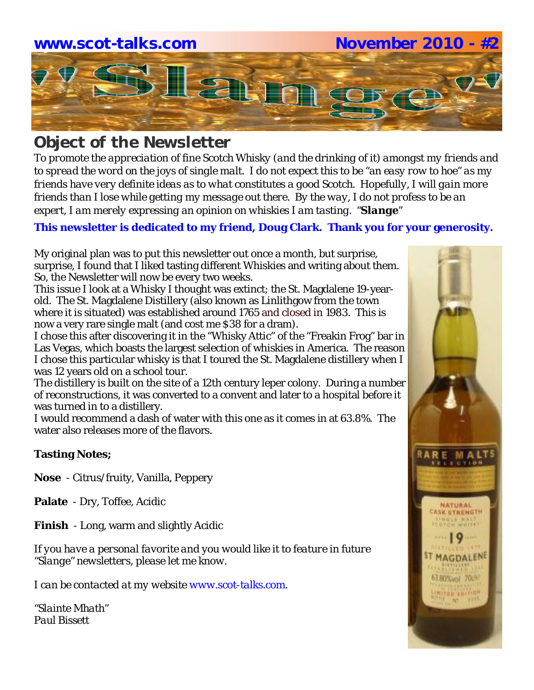

# *Object of the Newsletter*

*To promote the appreciation of fine Scotch Whisky (and the drinking of it) amongst my friends and to spread the word on the joys of single malt. I do not expect this to be "an easy row to hoe" as my friends have very definite ideas as to what constitutes a good Scotch. Hopefully, I will gain more friends than I lose while getting my message out there. By the way, I do not profess to be an expert, I am merely expressing an opinion on whiskies I am tasting. "Slange"*

## **This newsletter is dedicated to my friend, Doug Clark. Thank you for your generosity.**

My original plan was to put this newsletter out once a month, but surprise, surprise, I found that I liked tasting different Whiskies and writing about them. So, the Newsletter will now be every two weeks.

This issue I look at a Whisky I thought was extinct; the St. Magdalene 19-yearold. The St. Magdalene Distillery (also known as Linlithgow from the town where it is situated) was established around 1765 and closed in 1983. This is now a very rare single malt (and cost me \$38 for a dram).

I chose this after discovering it in the "Whisky Attic" of the "Freakin Frog" bar in Las Vegas, which boasts the largest selection of whiskies in America. The reason I chose this particular whisky is that I toured the St. Magdalene distillery when I was 12 years old on a school tour.

The distillery is built on the site of a 12th century leper colony. During a number of reconstructions, it was converted to a convent and later to a hospital before it was turned in to a distillery.

I would recommend a dash of water with this one as it comes in at 63.8%. The water also releases more of the flavors.

### **Tasting Notes;**

**Nose** - Citrus/fruity, Vanilla, Peppery

**Palate** - Dry, Toffee, Acidic

**Finish** - Long, warm and slightly Acidic

*If you have a personal favorite and you would like it to feature in future "Slange" newsletters, please let me know.* 

*I can be contacted at my website www.scot-talks.com.*

*"Slainte Mhath" Paul Bissett*

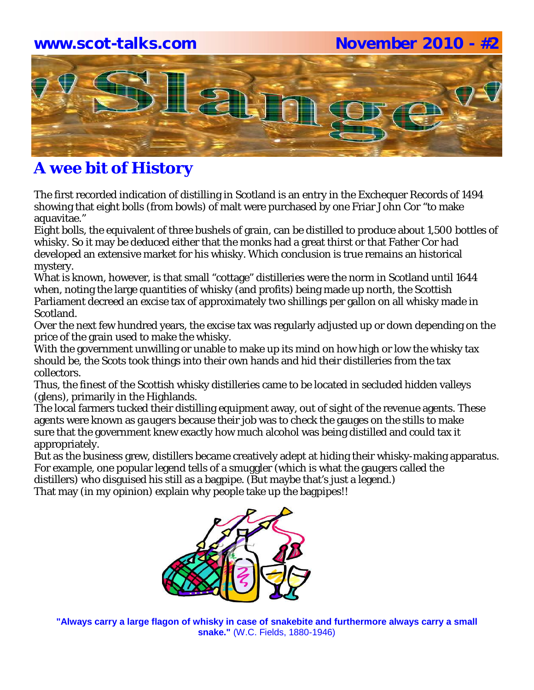## **www.scot-talks.com November 2010 - #2**



# **A wee bit of History**

The first recorded indication of distilling in Scotland is an entry in the Exchequer Records of 1494 showing that eight *bolls* (from bowls) of malt were purchased by one Friar John Cor "to make aquavitae."

Eight bolls, the equivalent of three bushels of grain, can be distilled to produce about 1,500 bottles of whisky. So it may be deduced either that the monks had a great thirst or that Father Cor had developed an extensive market for his whisky. Which conclusion is true remains an historical mystery.

What is known, however, is that small "cottage" distilleries were the norm in Scotland until 1644 when, noting the large quantities of whisky (and profits) being made up north, the Scottish Parliament decreed an excise tax of approximately two shillings per gallon on all whisky made in Scotland.

Over the next few hundred years, the excise tax was regularly adjusted up or down depending on the price of the grain used to make the whisky.

With the government unwilling or unable to make up its mind on how high or low the whisky tax should be, the Scots took things into their own hands and hid their distilleries from the tax collectors.

Thus, the finest of the Scottish whisky distilleries came to be located in secluded hidden valleys (glens), primarily in the Highlands.

The local farmers tucked their distilling equipment away, out of sight of the revenue agents. These agents were known as *gaugers* because their job was to check the gauges on the stills to make sure that the government knew exactly how much alcohol was being distilled and could tax it appropriately.

But as the business grew, distillers became creatively adept at hiding their whisky-making apparatus. For example, one popular legend tells of a smuggler (which is what the gaugers called the distillers) who disguised his still as a bagpipe. (But maybe that's just a legend.)

That may (in my opinion) explain why people take up the bagpipes!!



**"Always carry a large flagon of whisky in case of snakebite and furthermore always carry a small snake."** (W.C. Fields, 1880-1946)